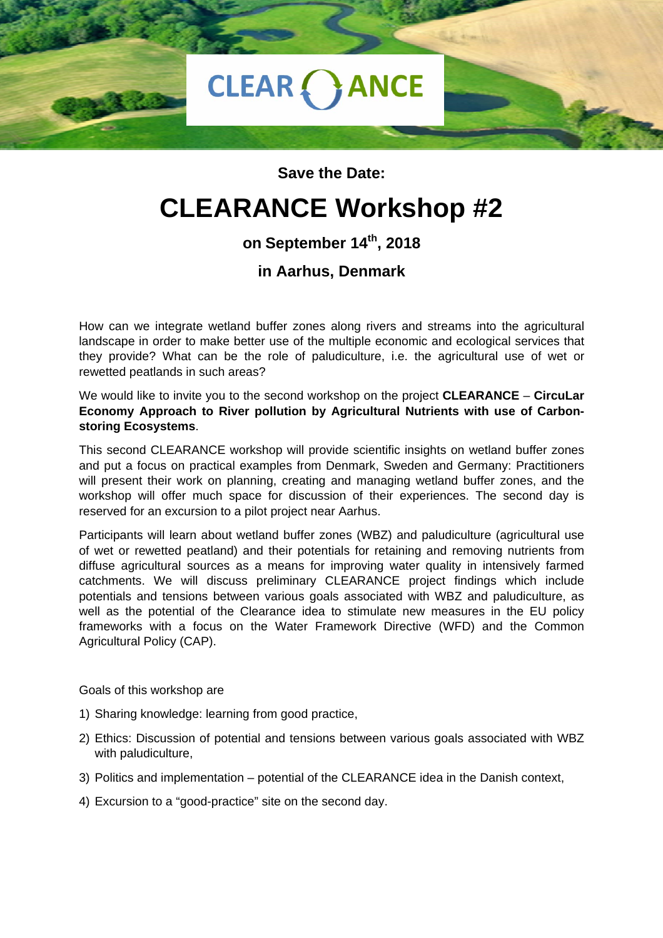

#### **Save the Date:**

# **CLEARANCE Workshop #2**

## **on September 14th, 2018**

### **in Aarhus, Denmark**

How can we integrate wetland buffer zones along rivers and streams into the agricultural landscape in order to make better use of the multiple economic and ecological services that they provide? What can be the role of paludiculture, i.e. the agricultural use of wet or rewetted peatlands in such areas?

We would like to invite you to the second workshop on the project **CLEARANCE** – **CircuLar Economy Approach to River pollution by Agricultural Nutrients with use of Carbonstoring Ecosystems**.

This second CLEARANCE workshop will provide scientific insights on wetland buffer zones and put a focus on practical examples from Denmark, Sweden and Germany: Practitioners will present their work on planning, creating and managing wetland buffer zones, and the workshop will offer much space for discussion of their experiences. The second day is reserved for an excursion to a pilot project near Aarhus.

Participants will learn about wetland buffer zones (WBZ) and paludiculture (agricultural use of wet or rewetted peatland) and their potentials for retaining and removing nutrients from diffuse agricultural sources as a means for improving water quality in intensively farmed catchments. We will discuss preliminary CLEARANCE project findings which include potentials and tensions between various goals associated with WBZ and paludiculture, as well as the potential of the Clearance idea to stimulate new measures in the EU policy frameworks with a focus on the Water Framework Directive (WFD) and the Common Agricultural Policy (CAP).

Goals of this workshop are

- 1) Sharing knowledge: learning from good practice,
- 2) Ethics: Discussion of potential and tensions between various goals associated with WBZ with paludiculture,
- 3) Politics and implementation potential of the CLEARANCE idea in the Danish context,
- 4) Excursion to a "good-practice" site on the second day.